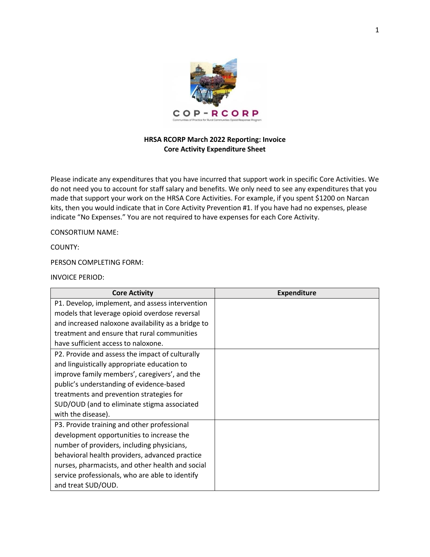

## **HRSA RCORP March 2022 Reporting: Invoice Core Activity Expenditure Sheet**

Please indicate any expenditures that you have incurred that support work in specific Core Activities. We do not need you to account for staff salary and benefits. We only need to see any expenditures that you made that support your work on the HRSA Core Activities. For example, if you spent \$1200 on Narcan kits, then you would indicate that in Core Activity Prevention #1. If you have had no expenses, please indicate "No Expenses." You are not required to have expenses for each Core Activity.

CONSORTIUM NAME:

COUNTY:

PERSON COMPLETING FORM:

INVOICE PERIOD:

| <b>Core Activity</b>                               | <b>Expenditure</b> |
|----------------------------------------------------|--------------------|
| P1. Develop, implement, and assess intervention    |                    |
| models that leverage opioid overdose reversal      |                    |
| and increased naloxone availability as a bridge to |                    |
| treatment and ensure that rural communities        |                    |
| have sufficient access to naloxone.                |                    |
| P2. Provide and assess the impact of culturally    |                    |
| and linguistically appropriate education to        |                    |
| improve family members', caregivers', and the      |                    |
| public's understanding of evidence-based           |                    |
| treatments and prevention strategies for           |                    |
| SUD/OUD (and to eliminate stigma associated        |                    |
| with the disease).                                 |                    |
| P3. Provide training and other professional        |                    |
| development opportunities to increase the          |                    |
| number of providers, including physicians,         |                    |
| behavioral health providers, advanced practice     |                    |
| nurses, pharmacists, and other health and social   |                    |
| service professionals, who are able to identify    |                    |
| and treat SUD/OUD.                                 |                    |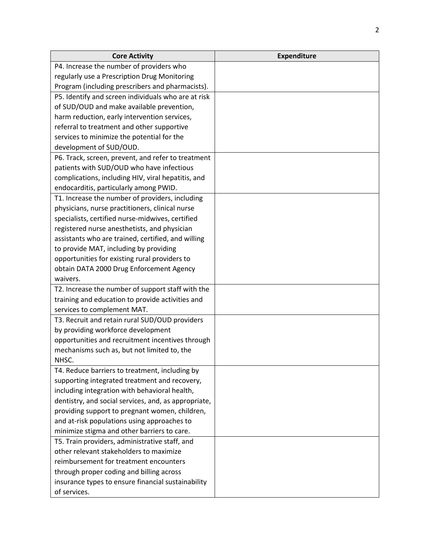| <b>Core Activity</b>                                 | <b>Expenditure</b> |
|------------------------------------------------------|--------------------|
| P4. Increase the number of providers who             |                    |
| regularly use a Prescription Drug Monitoring         |                    |
| Program (including prescribers and pharmacists).     |                    |
| P5. Identify and screen individuals who are at risk  |                    |
| of SUD/OUD and make available prevention,            |                    |
| harm reduction, early intervention services,         |                    |
| referral to treatment and other supportive           |                    |
| services to minimize the potential for the           |                    |
| development of SUD/OUD.                              |                    |
| P6. Track, screen, prevent, and refer to treatment   |                    |
| patients with SUD/OUD who have infectious            |                    |
| complications, including HIV, viral hepatitis, and   |                    |
| endocarditis, particularly among PWID.               |                    |
| T1. Increase the number of providers, including      |                    |
| physicians, nurse practitioners, clinical nurse      |                    |
| specialists, certified nurse-midwives, certified     |                    |
| registered nurse anesthetists, and physician         |                    |
| assistants who are trained, certified, and willing   |                    |
| to provide MAT, including by providing               |                    |
| opportunities for existing rural providers to        |                    |
| obtain DATA 2000 Drug Enforcement Agency             |                    |
| waivers.                                             |                    |
| T2. Increase the number of support staff with the    |                    |
| training and education to provide activities and     |                    |
| services to complement MAT.                          |                    |
| T3. Recruit and retain rural SUD/OUD providers       |                    |
| by providing workforce development                   |                    |
| opportunities and recruitment incentives through     |                    |
| mechanisms such as, but not limited to, the          |                    |
| NHSC.                                                |                    |
| T4. Reduce barriers to treatment, including by       |                    |
| supporting integrated treatment and recovery,        |                    |
| including integration with behavioral health,        |                    |
| dentistry, and social services, and, as appropriate, |                    |
| providing support to pregnant women, children,       |                    |
| and at-risk populations using approaches to          |                    |
| minimize stigma and other barriers to care.          |                    |
| T5. Train providers, administrative staff, and       |                    |
| other relevant stakeholders to maximize              |                    |
| reimbursement for treatment encounters               |                    |
| through proper coding and billing across             |                    |
| insurance types to ensure financial sustainability   |                    |
| of services.                                         |                    |